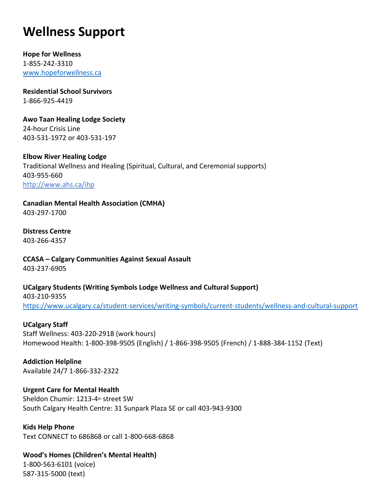# **Wellness Support**

**[Hope for Wellness](https://www.hopeforwellness.ca/)**  1-855-242-3310 [www.hopeforwellness.ca](http://www.hopeforwellness.ca/)

**[Residential](https://www.sac-isc.gc.ca/eng/1581971225188/1581971250953) School Survivors** 1-866-925-4419

**[Awo Taan Healing Lodge Society](https://www.awotaan.org/)** 24-hour Crisis Line 403-531-1972 or 403-531-197

**Elbow River Healing Lodge** Traditional Wellness and Healing (Spiritual, Cultural, and Ceremonial supports) 403-955-660 <http://www.ahs.ca/ihp>

**[Canadian Mental Health Association \(CMHA\)](https://cmha.ca/)** 403-297-1700

**[Distress Centre](https://www.distresscentre.com/)** 403-266-4357

**CCASA – [Calgary Communities Against Sexual Assault](mailto:info@calgarycasa.com)** 403-237-6905

**UCalgary Students [\(Writing Symbols Lodge Wellness and Cultural Support\)](https://www.ucalgary.ca/student-services/writing-symbols/current-students/wellness-and-cultural-support)** 403-210-9355 <https://www.ucalgary.ca/student-services/writing-symbols/current-students/wellness-and-cultural-support>

## **UCalgary Staff**

Staff Wellness: 403-220-2918 (work hours) Homewood Health: 1-800-398-9505 (English) / 1-866-398-9505 (French) / 1-888-384-1152 (Text)

**Addiction Helpline** Available 24/7 1-866-332-2322

**Urgent Care for Mental Health** Sheldon Chumir: 1213-4th street SW South Calgary Health Centre: 31 Sunpark Plaza SE or call 403-943-9300

**Kids Help Phone** Text CONNECT to 686868 or call 1-800-668-6868

**Wood's Homes (Children's Mental Health)** 1-800-563-6101 (voice) 587-315-5000 (text)